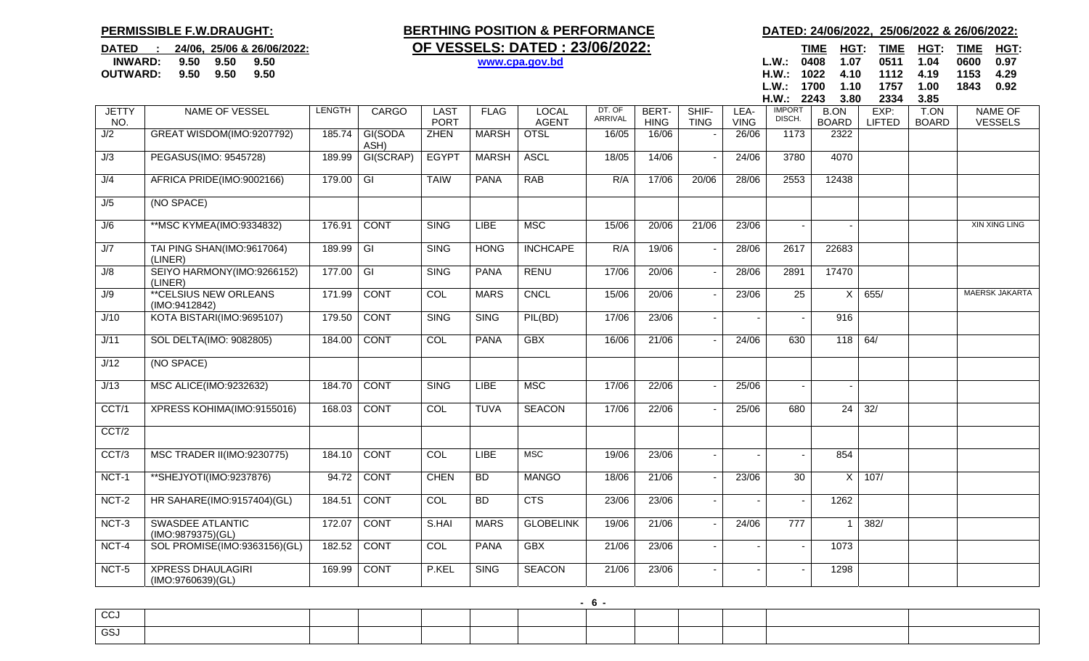## **PERMISSIBLE F.W.DRAUGHT:**

**OUTWARD: 9.50 9.50 9.50**

## DATED : 24/06, 25/06 & 26/06/2022: **OF VESSELS: DATED : 23/06/2022:** TIME HGT: TIME HGT: TIME HGT: TIME HGT: **INWARD:** 9.50 9.50 9.50 **9.50 www.cpa.gov.bd L.W.: 0408 1.07 0511 1.04 0600 0.97**

## **BERTHING POSITION & PERFORMANCE DATED: 24/06/2022, 25/06/2022 & 26/06/2022:**

 **H.W.: 1022 4.10 1112 4.19 1153 4.29 L.W.: 1700 1.10 1757 1.00 18430.92** 

|                     |                                               |        |                 |                            |              |                              |                   |                      |                      |                     | H.W.: 2243              | 3.80                        | 2334                  | 3.85                 |                                  |
|---------------------|-----------------------------------------------|--------|-----------------|----------------------------|--------------|------------------------------|-------------------|----------------------|----------------------|---------------------|-------------------------|-----------------------------|-----------------------|----------------------|----------------------------------|
| <b>JETTY</b><br>NO. | <b>NAME OF VESSEL</b>                         | LENGTH | CARGO           | <b>LAST</b><br><b>PORT</b> | <b>FLAG</b>  | <b>LOCAL</b><br><b>AGENT</b> | DT. OF<br>ARRIVAL | BERT-<br><b>HING</b> | SHIF-<br><b>TING</b> | LEA-<br><b>VING</b> | <b>IMPORT</b><br>DISCH. | <b>B.ON</b><br><b>BOARD</b> | EXP:<br><b>LIFTED</b> | T.ON<br><b>BOARD</b> | <b>NAME OF</b><br><b>VESSELS</b> |
| J/2                 | GREAT WISDOM(IMO:9207792)                     | 185.74 | GI(SODA<br>ASH) | <b>ZHEN</b>                | <b>MARSH</b> | <b>OTSL</b>                  | 16/05             | 16/06                |                      | 26/06               | 1173                    | 2322                        |                       |                      |                                  |
| J/3                 | PEGASUS(IMO: 9545728)                         | 189.99 | GI(SCRAP)       | <b>EGYPT</b>               | <b>MARSH</b> | <b>ASCL</b>                  | 18/05             | 14/06                |                      | 24/06               | 3780                    | 4070                        |                       |                      |                                  |
| J/4                 | AFRICA PRIDE(IMO:9002166)                     | 179.00 | $\overline{G}$  | <b>TAIW</b>                | <b>PANA</b>  | <b>RAB</b>                   | R/A               | 17/06                | 20/06                | 28/06               | 2553                    | 12438                       |                       |                      |                                  |
| J/5                 | (NO SPACE)                                    |        |                 |                            |              |                              |                   |                      |                      |                     |                         |                             |                       |                      |                                  |
| J/6                 | ** MSC KYMEA (IMO: 9334832)                   | 176.91 | <b>CONT</b>     | <b>SING</b>                | LIBE         | <b>MSC</b>                   | 15/06             | 20/06                | 21/06                | 23/06               |                         |                             |                       |                      | XIN XING LING                    |
| J/7                 | TAI PING SHAN(IMO:9617064)<br>(LINER)         | 189.99 | $\overline{G}$  | <b>SING</b>                | <b>HONG</b>  | <b>INCHCAPE</b>              | R/A               | 19/06                |                      | 28/06               | 2617                    | 22683                       |                       |                      |                                  |
| J/8                 | SEIYO HARMONY(IMO:9266152)<br>(LINER)         | 177.00 | $\overline{G}$  | <b>SING</b>                | <b>PANA</b>  | <b>RENU</b>                  | 17/06             | 20/06                |                      | 28/06               | 2891                    | 17470                       |                       |                      |                                  |
| J/9                 | <b>**CELSIUS NEW ORLEANS</b><br>(IMO:9412842) | 171.99 | <b>CONT</b>     | COL                        | <b>MARS</b>  | <b>CNCL</b>                  | 15/06             | 20/06                |                      | 23/06               | $\overline{25}$         | $\times$                    | 655/                  |                      | <b>MAERSK JAKARTA</b>            |
| J/10                | KOTA BISTARI(IMO:9695107)                     | 179.50 | <b>CONT</b>     | <b>SING</b>                | <b>SING</b>  | PIL(BD)                      | 17/06             | 23/06                |                      |                     |                         | 916                         |                       |                      |                                  |
| J/11                | SOL DELTA(IMO: 9082805)                       | 184.00 | <b>CONT</b>     | COL                        | <b>PANA</b>  | <b>GBX</b>                   | 16/06             | 21/06                |                      | 24/06               | 630                     | 118                         | 64/                   |                      |                                  |
| J/12                | (NO SPACE)                                    |        |                 |                            |              |                              |                   |                      |                      |                     |                         |                             |                       |                      |                                  |
| J/13                | MSC ALICE(IMO:9232632)                        | 184.70 | <b>CONT</b>     | <b>SING</b>                | <b>LIBE</b>  | <b>MSC</b>                   | 17/06             | 22/06                |                      | 25/06               |                         |                             |                       |                      |                                  |
| CCT/1               | XPRESS KOHIMA(IMO:9155016)                    | 168.03 | <b>CONT</b>     | COL                        | <b>TUVA</b>  | <b>SEACON</b>                | 17/06             | 22/06                |                      | 25/06               | 680                     | 24                          | 32/                   |                      |                                  |
| CCT/2               |                                               |        |                 |                            |              |                              |                   |                      |                      |                     |                         |                             |                       |                      |                                  |
| CCT/3               | <b>MSC TRADER II(IMO:9230775)</b>             | 184.10 | <b>CONT</b>     | COL                        | <b>LIBE</b>  | <b>MSC</b>                   | 19/06             | 23/06                |                      | $\blacksquare$      |                         | 854                         |                       |                      |                                  |
| NCT-1               | **SHEJYOTI(IMO:9237876)                       | 94.72  | <b>CONT</b>     | <b>CHEN</b>                | <b>BD</b>    | <b>MANGO</b>                 | 18/06             | 21/06                |                      | 23/06               | 30                      | $\times$                    | 107/                  |                      |                                  |
| NCT-2               | HR SAHARE(IMO:9157404)(GL)                    | 184.51 | <b>CONT</b>     | COL                        | <b>BD</b>    | <b>CTS</b>                   | 23/06             | 23/06                |                      |                     |                         | 1262                        |                       |                      |                                  |
| $NCT-3$             | <b>SWASDEE ATLANTIC</b><br>(IMO:9879375)(GL)  | 172.07 | <b>CONT</b>     | S.HAI                      | <b>MARS</b>  | <b>GLOBELINK</b>             | 19/06             | 21/06                |                      | 24/06               | 777                     | - 1                         | 382/                  |                      |                                  |
| NCT-4               | SOL PROMISE(IMO:9363156)(GL)                  | 182.52 | <b>CONT</b>     | COL                        | <b>PANA</b>  | <b>GBX</b>                   | 21/06             | 23/06                |                      | $\blacksquare$      |                         | 1073                        |                       |                      |                                  |
| NCT-5               | <b>XPRESS DHAULAGIRI</b><br>(IMO:9760639)(GL) | 169.99 | <b>CONT</b>     | P.KEL                      | <b>SING</b>  | <b>SEACON</b>                | 21/06             | 23/06                |                      |                     |                         | 1298                        |                       |                      |                                  |

| $\sim$<br>◡◡ |  |  |  |  |  |  |  |  |  |  |  |
|--------------|--|--|--|--|--|--|--|--|--|--|--|
| $\sim$<br>┘  |  |  |  |  |  |  |  |  |  |  |  |